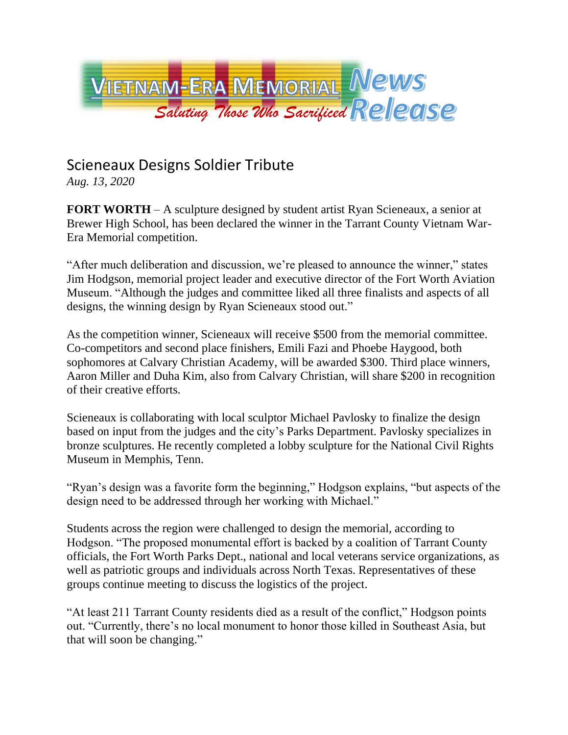

## Scieneaux Designs Soldier Tribute

*Aug. 13, 2020*

**FORT WORTH** – A sculpture designed by student artist Ryan Scieneaux, a senior at Brewer High School, has been declared the winner in the Tarrant County Vietnam War-Era Memorial competition.

"After much deliberation and discussion, we're pleased to announce the winner," states Jim Hodgson, memorial project leader and executive director of the Fort Worth Aviation Museum. "Although the judges and committee liked all three finalists and aspects of all designs, the winning design by Ryan Scieneaux stood out."

As the competition winner, Scieneaux will receive \$500 from the memorial committee. Co-competitors and second place finishers, Emili Fazi and Phoebe Haygood, both sophomores at Calvary Christian Academy, will be awarded \$300. Third place winners, Aaron Miller and Duha Kim, also from Calvary Christian, will share \$200 in recognition of their creative efforts.

Scieneaux is collaborating with local sculptor Michael Pavlosky to finalize the design based on input from the judges and the city's Parks Department. Pavlosky specializes in bronze sculptures. He recently completed a lobby sculpture for the National Civil Rights Museum in Memphis, Tenn.

"Ryan's design was a favorite form the beginning," Hodgson explains, "but aspects of the design need to be addressed through her working with Michael."

Students across the region were challenged to design the memorial, according to Hodgson. "The proposed monumental effort is backed by a coalition of Tarrant County officials, the Fort Worth Parks Dept., national and local veterans service organizations, as well as patriotic groups and individuals across North Texas. Representatives of these groups continue meeting to discuss the logistics of the project.

"At least 211 Tarrant County residents died as a result of the conflict," Hodgson points out. "Currently, there's no local monument to honor those killed in Southeast Asia, but that will soon be changing."